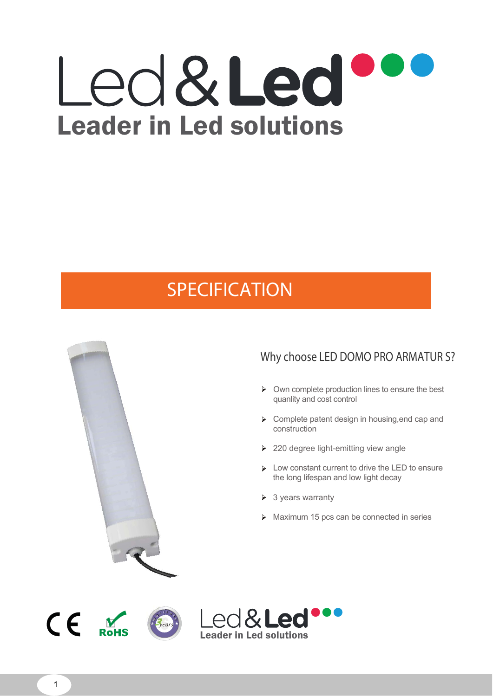# Led&Led Leader in Led solutions

## *SPECIFICATION*



**t y**

#### **Why choose LED DOMO PRO ARMATUR S?**

- $\triangleright$  Own complete production lines to ensure the best quanlity and cost control
- **EX Complete patent design in housing, end cap and** construction
- ▶ 220 degree light-emitting view angle
- Low constant current to drive the LED to ensure the long lifespan and low light decay
- $\triangleright$  3 years warranty
- Maximum 15 pcs can be connected in series





1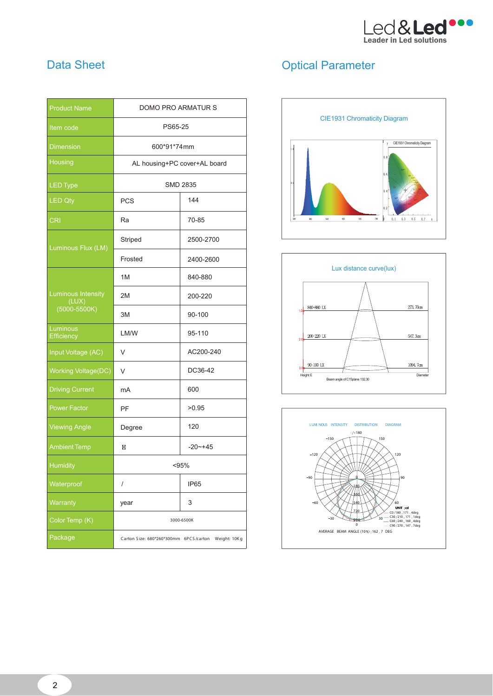

#### **Data Sheet**

| <b>Product Name</b>                                    | DOMO PRO ARMATUR S                                  |                  |  |  |
|--------------------------------------------------------|-----------------------------------------------------|------------------|--|--|
| Item code                                              | PS65-25                                             |                  |  |  |
| <b>Dimension</b>                                       | 600*91*74mm                                         |                  |  |  |
| Housing                                                | AL housing+PC cover+AL board                        |                  |  |  |
| <b>LED Type</b>                                        | <b>SMD 2835</b>                                     |                  |  |  |
| <b>LED Qty</b>                                         | 144<br><b>PCS</b>                                   |                  |  |  |
| <b>CRI</b>                                             | Ra                                                  | 70-85            |  |  |
| Luminous Flux (LM)                                     | Striped                                             | 2500-2700        |  |  |
|                                                        | Frosted                                             | 2400-2600        |  |  |
|                                                        | 1M                                                  | 840-880          |  |  |
| <b>Luminous Intensity</b><br>(LUX)<br>$(5000 - 5500K)$ | 2M                                                  | 200-220          |  |  |
|                                                        | 3M                                                  | 90-100           |  |  |
| Luminous<br>Efficiency                                 | LM/W                                                | 95-110           |  |  |
| Input Voltage (AC)                                     | V                                                   | AC200-240        |  |  |
| <b>Working Voltage(DC)</b>                             | V                                                   | DC36-42          |  |  |
| <b>Driving Current</b>                                 | mA                                                  | 600              |  |  |
| <b>Power Factor</b>                                    | PF                                                  | >0.95            |  |  |
| <b>Viewing Angle</b>                                   | Degree                                              | 120              |  |  |
| <b>Ambient Temp</b>                                    | ⊠<br>$-20$ ~+45                                     |                  |  |  |
| <b>Humidity</b>                                        | < 95%                                               |                  |  |  |
| Waterproof                                             | $\prime$                                            | IP <sub>65</sub> |  |  |
| Warranty                                               | year                                                | 3                |  |  |
| Color Temp (K)                                         | 3000-6500K                                          |                  |  |  |
| Package                                                | Carton Size: 680*260*300mm 6PCS/carton Weight: 10Kg |                  |  |  |

### **Optical Parameter**





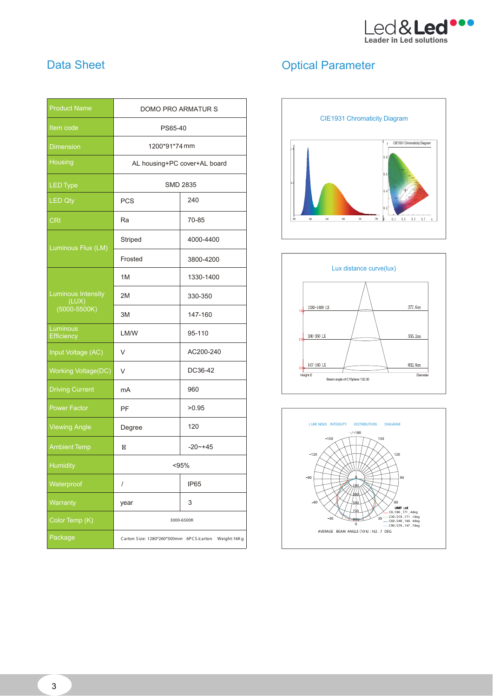

| <b>Product Name</b>                                    | DOMO PRO ARMATUR S                                  |             |  |  |
|--------------------------------------------------------|-----------------------------------------------------|-------------|--|--|
| Item code                                              | PS65-40                                             |             |  |  |
| <b>Dimension</b>                                       | 1200*91*74 mm                                       |             |  |  |
| Housing                                                | AL housing+PC cover+AL board                        |             |  |  |
| <b>LED Type</b>                                        | <b>SMD 2835</b>                                     |             |  |  |
| <b>LED Qty</b>                                         | 240<br><b>PCS</b>                                   |             |  |  |
| <b>CRI</b>                                             | Ra                                                  | 70-85       |  |  |
| Luminous Flux (LM)                                     | Striped                                             | 4000-4400   |  |  |
|                                                        | Frosted                                             | 3800-4200   |  |  |
| <b>Luminous Intensity</b><br>(LUX)<br>$(5000 - 5500K)$ | 1M                                                  | 1330-1400   |  |  |
|                                                        | 2M                                                  | 330-350     |  |  |
|                                                        | 3M                                                  | 147-160     |  |  |
| Luminous<br>Efficiency                                 | LM/W                                                | 95-110      |  |  |
| Input Voltage (AC)                                     | V                                                   | AC200-240   |  |  |
| <b>Working Voltage(DC)</b>                             | V                                                   | DC36-42     |  |  |
| <b>Driving Current</b>                                 | mA                                                  | 960         |  |  |
| <b>Power Factor</b>                                    | PF                                                  | >0.95       |  |  |
| <b>Viewing Angle</b>                                   | Degree                                              | 120         |  |  |
| <b>Ambient Temp</b>                                    | ⊠                                                   | $-20 - +45$ |  |  |
| <b>Humidity</b>                                        | < 95%                                               |             |  |  |
| Waterproof                                             | I                                                   | IP65        |  |  |
| Warranty                                               | year                                                | 3           |  |  |
| Color Temp (K)                                         | 3000-6500K                                          |             |  |  |
| Package                                                | Carton Size: 1280*260*300mm 6PCS/carton Weight:16Kg |             |  |  |

### Data Sheet **Optical Parameter** Optical Parameter





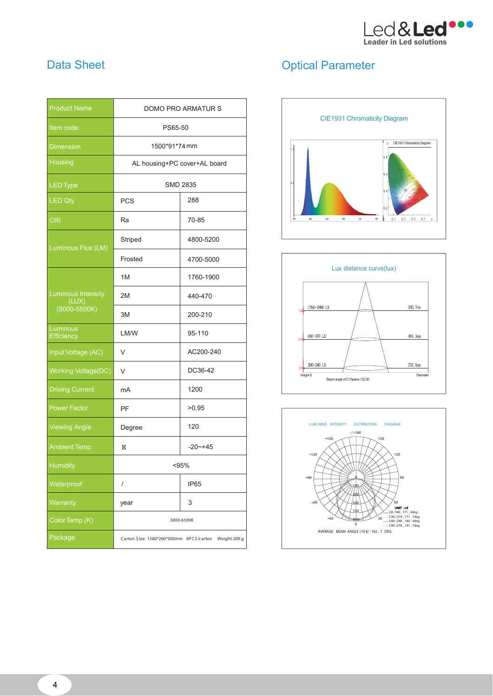

#### **Data Sheet**

| <b>Product Name</b>                | <b>DOMO PRO ARMATUR S</b>                           |             |  |  |
|------------------------------------|-----------------------------------------------------|-------------|--|--|
| Item code                          | PS65-50                                             |             |  |  |
| <b>Dimension</b>                   | 1500*91*74mm                                        |             |  |  |
| Housing                            | AL housing+PC cover+AL board                        |             |  |  |
| <b>LED Type</b>                    | <b>SMD 2835</b>                                     |             |  |  |
| <b>LED Qty</b>                     | <b>PCS</b>                                          | 288         |  |  |
| <b>CRI</b>                         | Ra                                                  | 70-85       |  |  |
| Luminous Flux (LM)                 | Striped                                             | 4800-5200   |  |  |
|                                    | Frosted                                             | 4700-5000   |  |  |
| <b>Luminous Intensity</b><br>(LUX) | 1M                                                  | 1760-1900   |  |  |
|                                    | 2M                                                  | 440-470     |  |  |
| $(5000 - 5500K)$                   | 3M                                                  | 200-210     |  |  |
| Luminous<br>Efficiency             | LM/W                                                | 95-110      |  |  |
| Input Voltage (AC)                 | V                                                   | AC200-240   |  |  |
| <b>Working Voltage(DC)</b>         | V                                                   | DC36-42     |  |  |
| <b>Driving Current</b>             | mA                                                  | 1200        |  |  |
| <b>Power Factor</b>                | PF                                                  | >0.95       |  |  |
| <b>Viewing Angle</b>               | Degree                                              | 120         |  |  |
| <b>Ambient Temp</b>                | ⊠                                                   | $-20 - +45$ |  |  |
| <b>Humidity</b>                    | < 95%                                               |             |  |  |
| Waterproof                         | I                                                   | IP65        |  |  |
| Warranty                           | year                                                | 3           |  |  |
| Color Temp (K)                     | 3000-6500K                                          |             |  |  |
| Package                            | Carton Size: 1580*260*300mm 6PCS/carton Weight:20Kg |             |  |  |

### **Optical Parameter**